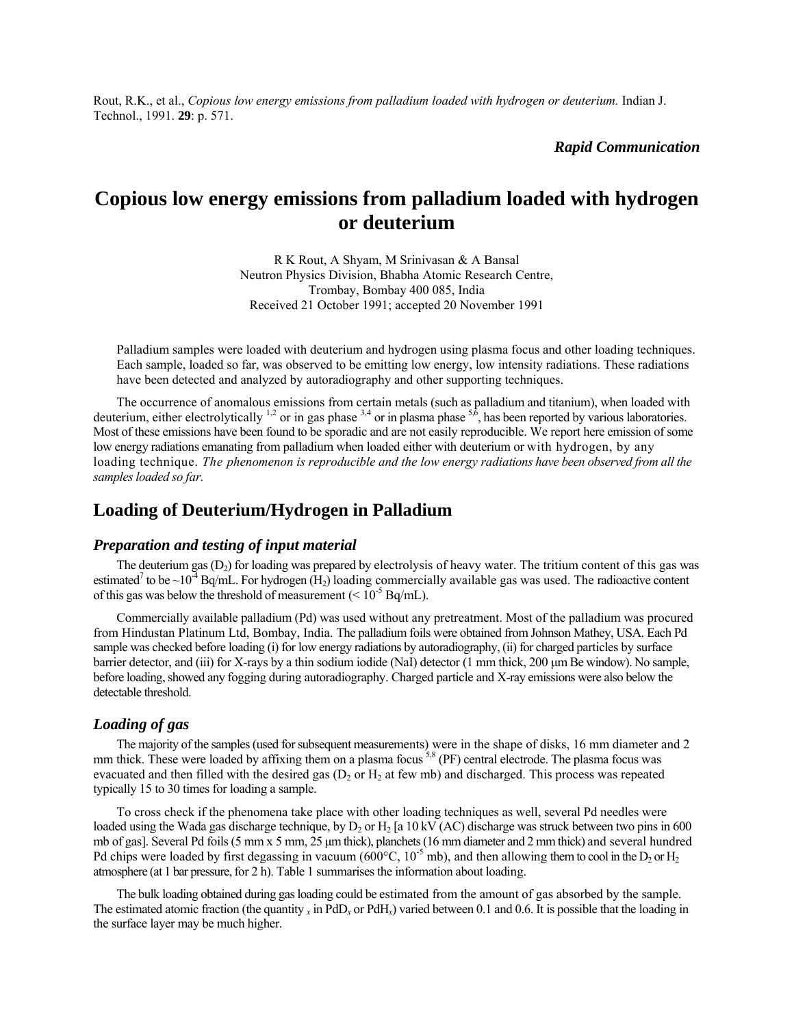Rout, R.K., et al., *Copious low energy emissions from palladium loaded with hydrogen or deuterium.* Indian J. Technol., 1991. **29**: p. 571.

*Rapid Communication* 

# **Copious low energy emissions from palladium loaded with hydrogen or deuterium**

R K Rout, A Shyam, M Srinivasan & A Bansal Neutron Physics Division, Bhabha Atomic Research Centre, Trombay, Bombay 400 085, India Received 21 October 1991; accepted 20 November 1991

Palladium samples were loaded with deuterium and hydrogen using plasma focus and other loading techniques. Each sample, loaded so far, was observed to be emitting low energy, low intensity radiations. These radiations have been detected and analyzed by autoradiography and other supporting techniques.

The occurrence of anomalous emissions from certain metals (such as palladium and titanium), when loaded with deuterium, either electrolytically <sup>1,2</sup> or in gas phase  $3,4$  or in plasma phase  $5,6$ , has been reported by various laboratories. Most of these emissions have been found to be sporadic and are not easily reproducible. We report here emission of some low energy radiations emanating from palladium when loaded either with deuterium or with hydrogen, by any loading technique. *The phenomenon is reproducible and the low energy radiations have been observed from all the samples loaded so far.*

# **Loading of Deuterium/Hydrogen in Palladium**

# *Preparation and testing of input material*

The deuterium gas  $(D_2)$  for loading was prepared by electrolysis of heavy water. The tritium content of this gas was estimated<sup>7</sup> to be ~10<sup>-4</sup> Bq/mL. For hydrogen (H<sub>2</sub>) loading commercially available gas was used. The radioactive content of this gas was below the threshold of measurement  $(< 10^{-5}$  Bq/mL).

Commercially available palladium (Pd) was used without any pretreatment. Most of the palladium was procured from Hindustan Platinum Ltd, Bombay, India. The palladium foils were obtained from Johnson Mathey, USA. Each Pd sample was checked before loading (i) for low energy radiations by autoradiography, (ii) for charged particles by surface barrier detector, and (iii) for X-rays by a thin sodium iodide (NaI) detector (1 mm thick, 200 µm Be window). No sample, before loading, showed any fogging during autoradiography. Charged particle and X-ray emissions were also below the detectable threshold.

### *Loading of gas*

The majority of the samples (used for subsequent measurements) were in the shape of disks, 16 mm diameter and 2 mm thick. These were loaded by affixing them on a plasma focus <sup>5,8</sup> (PF) central electrode. The plasma focus was evacuated and then filled with the desired gas ( $D_2$  or  $H_2$  at few mb) and discharged. This process was repeated typically 15 to 30 times for loading a sample.

To cross check if the phenomena take place with other loading techniques as well, several Pd needles were loaded using the Wada gas discharge technique, by  $D_2$  or H<sub>2</sub> [a 10 kV (AC) discharge was struck between two pins in 600 mb of gas]. Several Pd foils (5 mm x 5 mm, 25 µm thick), planchets (16 mm diameter and 2 mm thick) and several hundred Pd chips were loaded by first degassing in vacuum (600°C,  $10^{-5}$  mb), and then allowing them to cool in the D<sub>2</sub> or H<sub>2</sub> atmosphere (at 1 bar pressure, for 2 h). Table 1 summarises the information about loading.

The bulk loading obtained during gas loading could be estimated from the amount of gas absorbed by the sample. The estimated atomic fraction (the quantity  $\chi$  in PdD $\chi$  or PdH $\chi$ ) varied between 0.1 and 0.6. It is possible that the loading in the surface layer may be much higher.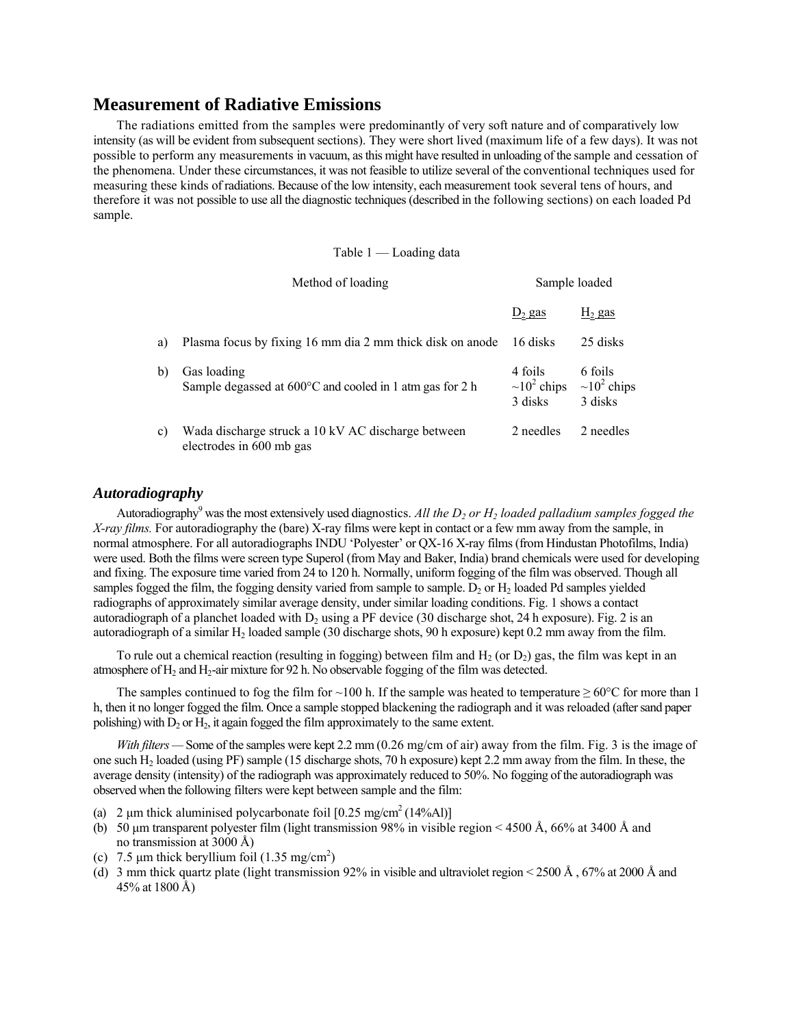# **Measurement of Radiative Emissions**

The radiations emitted from the samples were predominantly of very soft nature and of comparatively low intensity (as will be evident from subsequent sections). They were short lived (maximum life of a few days). It was not possible to perform any measurements in vacuum, as this might have resulted in unloading of the sample and cessation of the phenomena. Under these circumstances, it was not feasible to utilize several of the conventional techniques used for measuring these kinds of radiations. Because of the low intensity, each measurement took several tens of hours, and therefore it was not possible to use all the diagnostic techniques (described in the following sections) on each loaded Pd sample.

#### Table  $1 -$ Loading data

|    | Method of loading                                                              | Sample loaded                           |                                         |  |  |
|----|--------------------------------------------------------------------------------|-----------------------------------------|-----------------------------------------|--|--|
|    |                                                                                | $D_2$ gas                               | $H_2$ gas                               |  |  |
| a) | Plasma focus by fixing 16 mm dia 2 mm thick disk on anode                      | 16 disks                                | 25 disks                                |  |  |
| b) | Gas loading<br>Sample degassed at 600°C and cooled in 1 atm gas for 2 h        | 4 foils<br>$\sim 10^2$ chips<br>3 disks | 6 foils<br>$\sim 10^2$ chips<br>3 disks |  |  |
| c) | Wada discharge struck a 10 kV AC discharge between<br>electrodes in 600 mb gas | 2 needles                               | 2 needles                               |  |  |

# *Autoradiography*

Autoradiography<sup>9</sup> was the most extensively used diagnostics. All the  $D_2$  or  $H_2$  loaded palladium samples fogged the *X-ray films.* For autoradiography the (bare) X-ray films were kept in contact or a few mm away from the sample, in normal atmosphere. For all autoradiographs INDU 'Polyester' or OX-16 X-ray films (from Hindustan Photofilms, India) were used. Both the films were screen type Superol (from May and Baker, India) brand chemicals were used for developing and fixing. The exposure time varied from 24 to 120 h. Normally, uniform fogging of the film was observed. Though all samples fogged the film, the fogging density varied from sample to sample. D<sub>2</sub> or H<sub>2</sub> loaded Pd samples yielded radiographs of approximately similar average density, under similar loading conditions. Fig. 1 shows a contact autoradiograph of a planchet loaded with  $D_2$  using a PF device (30 discharge shot, 24 h exposure). Fig. 2 is an autoradiograph of a similar H<sub>2</sub> loaded sample (30 discharge shots, 90 h exposure) kept 0.2 mm away from the film.

To rule out a chemical reaction (resulting in fogging) between film and  $H_2$  (or  $D_2$ ) gas, the film was kept in an atmosphere of  $H_2$  and  $H_2$ -air mixture for 92 h. No observable fogging of the film was detected.

The samples continued to fog the film for ~100 h. If the sample was heated to temperature  $\geq 60^{\circ}$ C for more than 1 h, then it no longer fogged the film. Once a sample stopped blackening the radiograph and it was reloaded (after sand paper polishing) with  $D_2$  or  $H_2$ , it again fogged the film approximately to the same extent.

*With filters* – Some of the samples were kept 2.2 mm (0.26 mg/cm of air) away from the film. Fig. 3 is the image of one such  $H_2$  loaded (using PF) sample (15 discharge shots, 70 h exposure) kept 2.2 mm away from the film. In these, the average density (intensity) of the radiograph was approximately reduced to 50%. No fogging of the autoradiograph was observed when the following filters were kept between sample and the film:

- (a) 2  $\mu$ m thick aluminised polycarbonate foil [0.25 mg/cm<sup>2</sup> (14%Al)]
- (b) 50  $\mu$ m transparent polyester film (light transmission 98% in visible region < 4500 Å, 66% at 3400 Å and no transmission at 3000 Å)
- (c)  $7.5 \mu m$  thick beryllium foil  $(1.35 \text{ mg/cm}^2)$
- (d) 3 mm thick quartz plate (light transmission 92% in visible and ultraviolet region  $\leq$  2500 Å, 67% at 2000 Å and 45% at 1800 Å)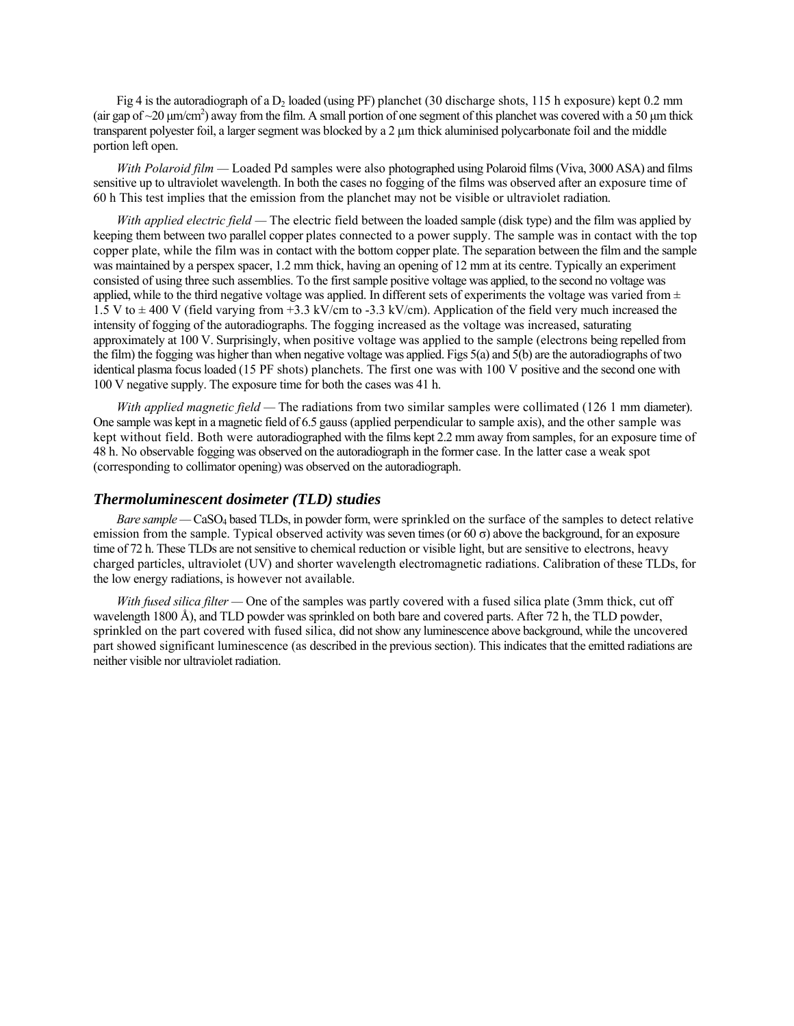Fig 4 is the autoradiograph of a  $D_2$  loaded (using PF) planchet (30 discharge shots, 115 h exposure) kept 0.2 mm (air gap of  $\sim$ 20  $\mu$ m/cm<sup>2</sup>) away from the film. A small portion of one segment of this planchet was covered with a 50  $\mu$ m thick transparent polyester foil, a larger segment was blocked by a 2 um thick aluminised polycarbonate foil and the middle portion left open.

*With Polaroid film* – Loaded Pd samples were also photographed using Polaroid films (Viva, 3000 ASA) and films sensitive up to ultraviolet wavelength. In both the cases no fogging of the films was observed after an exposure time of 60 h This test implies that the emission from the planchet may not be visible or ultraviolet radiation.

*With applied electric field* — The electric field between the loaded sample (disk type) and the film was applied by keeping them between two parallel copper plates connected to a power supply. The sample was in contact with the top copper plate, while the film was in contact with the bottom copper plate. The separation between the film and the sample was maintained by a perspex spacer, 1.2 mm thick, having an opening of 12 mm at its centre. Typically an experiment consisted of using three such assemblies. To the first sample positive voltage was applied, to the second no voltage was applied, while to the third negative voltage was applied. In different sets of experiments the voltage was varied from  $\pm$ 1.5 V to ± 400 V (field varying from +3.3 kV/cm to -3.3 kV/cm). Application of the field very much increased the intensity of fogging of the autoradiographs. The fogging increased as the voltage was increased, saturating approximately at 100 V. Surprisingly, when positive voltage was applied to the sample (electrons being repelled from the film) the fogging was higher than when negative voltage was applied. Figs 5(a) and 5(b) are the autoradiographs of two identical plasma focus loaded (15 PF shots) planchets. The first one was with 100 V positive and the second one with 100 V negative supply. The exposure time for both the cases was 41 h.

*With applied magnetic field* — The radiations from two similar samples were collimated (126 1 mm diameter). One sample was kept in a magnetic field of 6.5 gauss (applied perpendicular to sample axis), and the other sample was kept without field. Both were autoradiographed with the films kept 2.2 mm away from samples, for an exposure time of 48 h. No observable fogging was observed on the autoradiograph in the former case. In the latter case a weak spot (corresponding to collimator opening) was observed on the autoradiograph.

# *Thermoluminescent dosimeter (TLD) studies*

*Bare sample* – CaSO<sub>4</sub> based TLDs, in powder form, were sprinkled on the surface of the samples to detect relative emission from the sample. Typical observed activity was seven times (or  $60 \sigma$ ) above the background, for an exposure time of 72 h. These TLDs are not sensitive to chemical reduction or visible light, but are sensitive to electrons, heavy charged particles, ultraviolet (UV) and shorter wavelength electromagnetic radiations. Calibration of these TLDs, for the low energy radiations, is however not available.

*With fused silica filter* – One of the samples was partly covered with a fused silica plate (3mm thick, cut off wavelength 1800 Å), and TLD powder was sprinkled on both bare and covered parts. After 72 h, the TLD powder, sprinkled on the part covered with fused silica, did not show any luminescence above background, while the uncovered part showed significant luminescence (as described in the previous section). This indicates that the emitted radiations are neither visible nor ultraviolet radiation.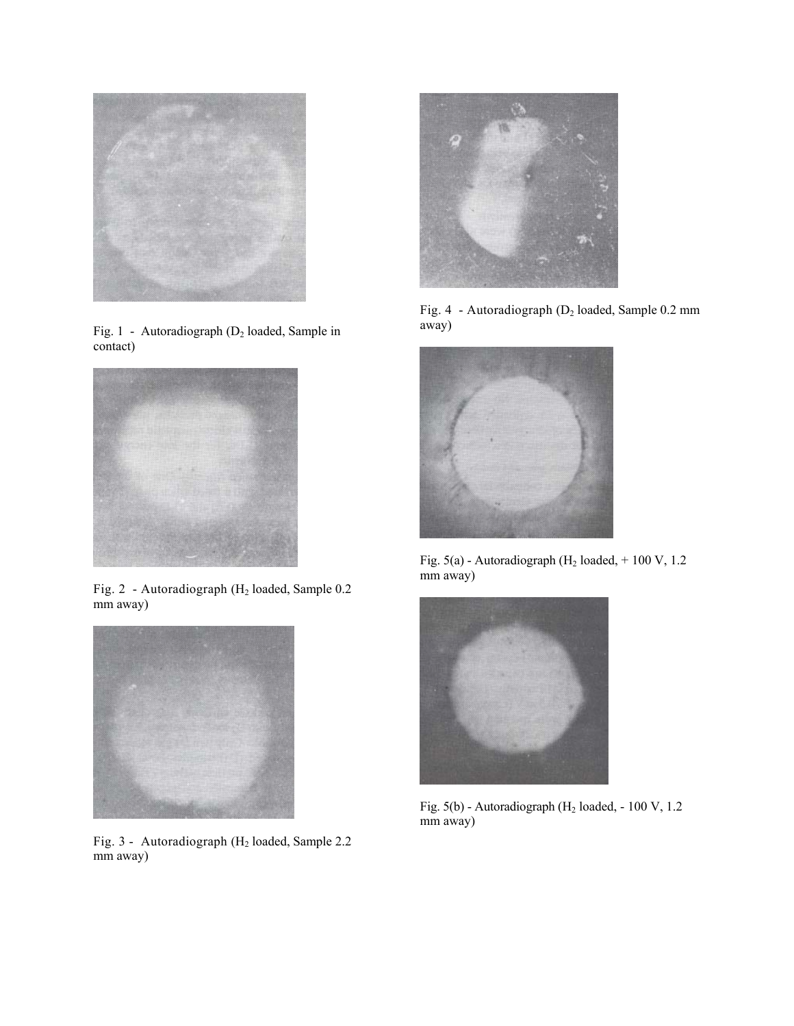

Fig. 1 - Autoradiograph  $(D_2 \text{ loaded, Sample in}$  away) contact)



Fig. 2 - Autoradiograph (H2 loaded, Sample 0.2 mm away)



Fig. 3 - Autoradiograph (H2 loaded, Sample 2.2 mm away)



Fig. 4 - Autoradiograph (D2 loaded, Sample 0.2 mm



Fig.  $5(a)$  - Autoradiograph (H<sub>2</sub> loaded, + 100 V, 1.2) mm away)



Fig.  $5(b)$  - Autoradiograph (H<sub>2</sub> loaded, - 100 V, 1.2) mm away)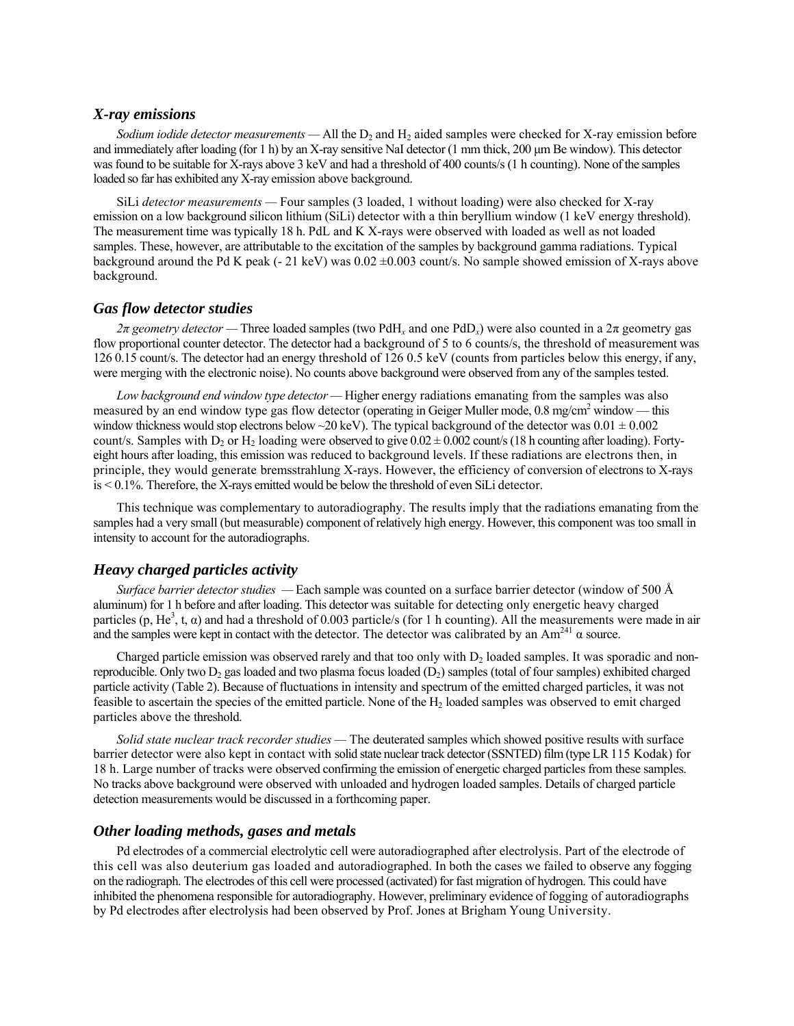### *X-ray emissions*

*Sodium iodide detector measurements*  $-$  All the  $D_2$  and  $H_2$  aided samples were checked for X-ray emission before and immediately after loading (for 1 h) by an X-ray sensitive NaI detector (1 mm thick, 200 µm Be window). This detector was found to be suitable for X-rays above 3 keV and had a threshold of 400 counts/s (1 h counting). None of the samples loaded so far has exhibited any X-ray emission above background.

SiLi *detector measurements* – Four samples (3 loaded, 1 without loading) were also checked for X-ray emission on a low background silicon lithium (SiLi) detector with a thin beryllium window (1 keV energy threshold). The measurement time was typically 18 h. PdL and K X-rays were observed with loaded as well as not loaded samples. These, however, are attributable to the excitation of the samples by background gamma radiations. Typical background around the Pd K peak (- 21 keV) was  $0.02 \pm 0.003$  count/s. No sample showed emission of X-rays above background.

### *Gas flow detector studies*

*2π* geometry detector – Three loaded samples (two PdH<sub>x</sub> and one PdD<sub>x</sub>) were also counted in a 2π geometry gas flow proportional counter detector. The detector had a background of 5 to 6 counts/s, the threshold of measurement was 126 0.15 count/s. The detector had an energy threshold of 126 0.5 keV (counts from particles below this energy, if any, were merging with the electronic noise). No counts above background were observed from any of the samples tested.

*Low background end window type detector* — Higher energy radiations emanating from the samples was also measured by an end window type gas flow detector (operating in Geiger Muller mode, 0.8 mg/cm<sup>2</sup> window — this window thickness would stop electrons below ~20 keV). The typical background of the detector was  $0.01 \pm 0.002$ count/s. Samples with  $D_2$  or  $H_2$  loading were observed to give  $0.02 \pm 0.002$  count/s (18 h counting after loading). Fortyeight hours after loading, this emission was reduced to background levels. If these radiations are electrons then, in principle, they would generate bremsstrahlung X-rays. However, the efficiency of conversion of electrons to X-rays is < 0.1%. Therefore, the X-rays emitted would be below the threshold of even SiLi detector.

This technique was complementary to autoradiography. The results imply that the radiations emanating from the samples had a very small (but measurable) component of relatively high energy. However, this component was too small in intensity to account for the autoradiographs.

### *Heavy charged particles activity*

*Surface barrier detector studies* – Each sample was counted on a surface barrier detector (window of 500 Å aluminum) for 1 h before and after loading. This detector was suitable for detecting only energetic heavy charged particles  $(p, He^3, t, \alpha)$  and had a threshold of 0.003 particle/s (for 1 h counting). All the measurements were made in air and the samples were kept in contact with the detector. The detector was calibrated by an  $Am^{241}$   $\alpha$  source.

Charged particle emission was observed rarely and that too only with  $D_2$  loaded samples. It was sporadic and nonreproducible. Only two  $D_2$  gas loaded and two plasma focus loaded  $(D_2)$  samples (total of four samples) exhibited charged particle activity (Table 2). Because of fluctuations in intensity and spectrum of the emitted charged particles, it was not feasible to ascertain the species of the emitted particle. None of the  $H_2$  loaded samples was observed to emit charged particles above the threshold.

*Solid state nuclear track recorder studies* — The deuterated samples which showed positive results with surface barrier detector were also kept in contact with solid state nuclear track detector (SSNTED) film (type LR 115 Kodak) for 18 h. Large number of tracks were observed confirming the emission of energetic charged particles from these samples. No tracks above background were observed with unloaded and hydrogen loaded samples. Details of charged particle detection measurements would be discussed in a forthcoming paper.

#### *Other loading methods, gases and metals*

Pd electrodes of a commercial electrolytic cell were autoradiographed after electrolysis. Part of the electrode of this cell was also deuterium gas loaded and autoradiographed. In both the cases we failed to observe any fogging on the radiograph. The electrodes of this cell were processed (activated) for fast migration of hydrogen. This could have inhibited the phenomena responsible for autoradiography. However, preliminary evidence of fogging of autoradiographs by Pd electrodes after electrolysis had been observed by Prof. Jones at Brigham Young University.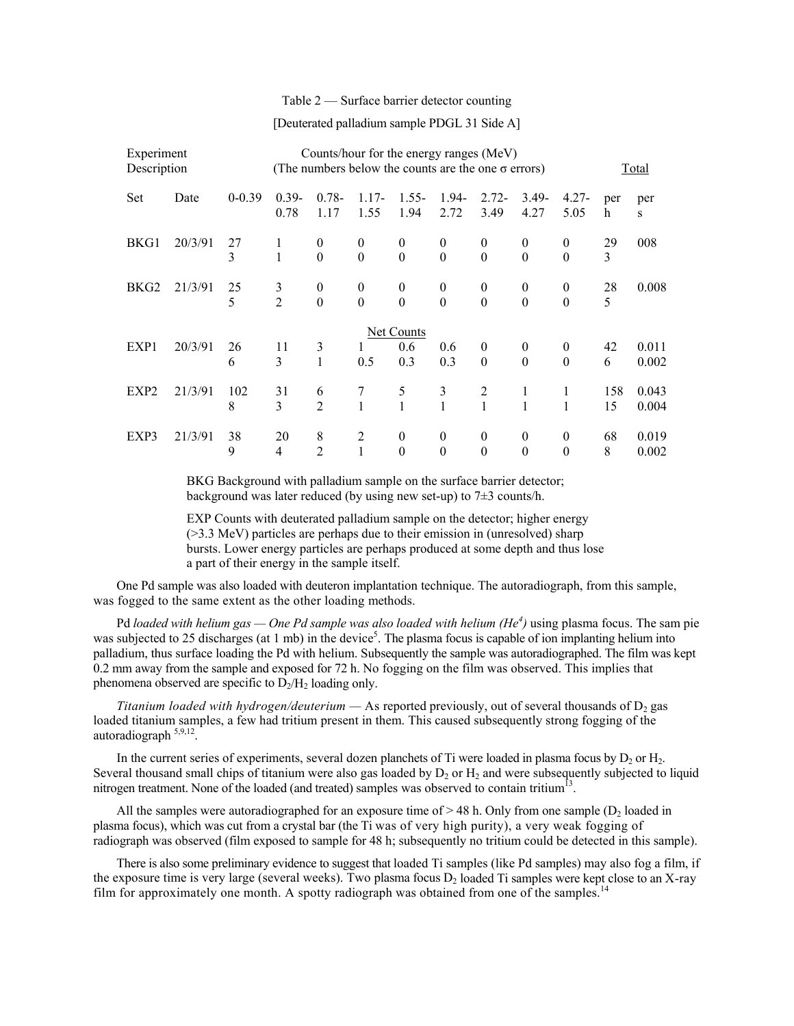#### Table  $2$   $-$  Surface barrier detector counting

#### [Deuterated palladium sample PDGL 31 Side A]

| Experiment<br>Description |         |            | Counts/hour for the energy ranges (MeV)<br>(The numbers below the counts are the one $\sigma$ errors) |                          |                                      |                              |                              |                          |                          | Total                            |           |                |
|---------------------------|---------|------------|-------------------------------------------------------------------------------------------------------|--------------------------|--------------------------------------|------------------------------|------------------------------|--------------------------|--------------------------|----------------------------------|-----------|----------------|
| <b>Set</b>                | Date    | $0 - 0.39$ | $0.39 -$<br>0.78                                                                                      | $0.78 -$<br>1.17         | $1.17-$<br>1.55                      | $1.55 -$<br>1.94             | 1.94-<br>2.72                | $2.72 -$<br>3.49         | $3.49 -$<br>4.27         | $4.27 -$<br>5.05                 | per<br>h  | per<br>S       |
| BKG1                      | 20/3/91 | 27<br>3    | 1<br>1                                                                                                | $\mathbf{0}$<br>$\theta$ | $\theta$<br>$\boldsymbol{0}$         | $\theta$<br>$\boldsymbol{0}$ | $\theta$<br>$\boldsymbol{0}$ | $\theta$<br>$\theta$     | $\theta$<br>$\theta$     | $\mathbf{0}$<br>$\boldsymbol{0}$ | 29<br>3   | 008            |
| BKG <sub>2</sub>          | 21/3/91 | 25<br>5    | 3<br>$\overline{2}$                                                                                   | $\mathbf{0}$<br>$\theta$ | $\boldsymbol{0}$<br>$\boldsymbol{0}$ | $\theta$<br>$\theta$         | $\mathbf{0}$<br>$\theta$     | $\theta$<br>$\theta$     | $\theta$<br>$\theta$     | $\mathbf{0}$<br>$\theta$         | 28<br>5   | 0.008          |
|                           |         |            |                                                                                                       |                          |                                      | Net Counts                   |                              |                          |                          |                                  |           |                |
| EXP1                      | 20/3/91 | 26<br>6    | 11<br>3                                                                                               | 3<br>1                   | 1<br>0.5                             | 0.6<br>0.3                   | 0.6<br>0.3                   | $\mathbf{0}$<br>$\theta$ | $\mathbf{0}$<br>$\theta$ | $\mathbf{0}$<br>$\theta$         | 42<br>6   | 0.011<br>0.002 |
| EXP <sub>2</sub>          | 21/3/91 | 102<br>8   | 31<br>3                                                                                               | 6<br>$\overline{2}$      | 7<br>1                               | 5<br>$\mathbf{1}$            | 3<br>$\mathbf{1}$            | 2<br>1                   | 1<br>1                   | 1<br>1                           | 158<br>15 | 0.043<br>0.004 |
| EXP3                      | 21/3/91 | 38<br>9    | 20<br>4                                                                                               | 8<br>$\overline{2}$      | 2<br>1                               | $\boldsymbol{0}$<br>$\theta$ | $\theta$<br>$\theta$         | $\theta$<br>$\theta$     | $\theta$<br>$\theta$     | $\theta$<br>$\theta$             | 68<br>8   | 0.019<br>0.002 |

BKG Background with palladium sample on the surface barrier detector; background was later reduced (by using new set-up) to 7±3 counts/h.

EXP Counts with deuterated palladium sample on the detector; higher energy (>3.3 MeV) particles are perhaps due to their emission in (unresolved) sharp bursts. Lower energy particles are perhaps produced at some depth and thus lose a part of their energy in the sample itself.

One Pd sample was also loaded with deuteron implantation technique. The autoradiograph, from this sample, was fogged to the same extent as the other loading methods.

Pd *loaded with helium gas — One Pd sample was also loaded with helium (He<sup>4</sup>) using plasma focus. The sam pie* was subjected to 25 discharges (at 1 mb) in the device<sup>5</sup>. The plasma focus is capable of ion implanting helium into palladium, thus surface loading the Pd with helium. Subsequently the sample was autoradiographed. The film was kept 0.2 mm away from the sample and exposed for 72 h. No fogging on the film was observed. This implies that phenomena observed are specific to  $D_2/H_2$  loading only.

*Titanium loaded with hydrogen/deuterium* — As reported previously, out of several thousands of D<sub>2</sub> gas loaded titanium samples, a few had tritium present in them. This caused subsequently strong fogging of the autoradiograph 5,9,12.

In the current series of experiments, several dozen planchets of Ti were loaded in plasma focus by  $D_2$  or  $H_2$ . Several thousand small chips of titanium were also gas loaded by  $D_2$  or  $H_2$  and were subsequently subjected to liquid nitrogen treatment. None of the loaded (and treated) samples was observed to contain tritium<sup>13</sup>.

All the samples were autoradiographed for an exposure time of  $> 48$  h. Only from one sample (D<sub>2</sub> loaded in plasma focus), which was cut from a crystal bar (the Ti was of very high purity), a very weak fogging of radiograph was observed (film exposed to sample for 48 h; subsequently no tritium could be detected in this sample).

There is also some preliminary evidence to suggest that loaded Ti samples (like Pd samples) may also fog a film, if the exposure time is very large (several weeks). Two plasma focus  $D_2$  loaded Ti samples were kept close to an X-ray film for approximately one month. A spotty radiograph was obtained from one of the samples.<sup>14</sup>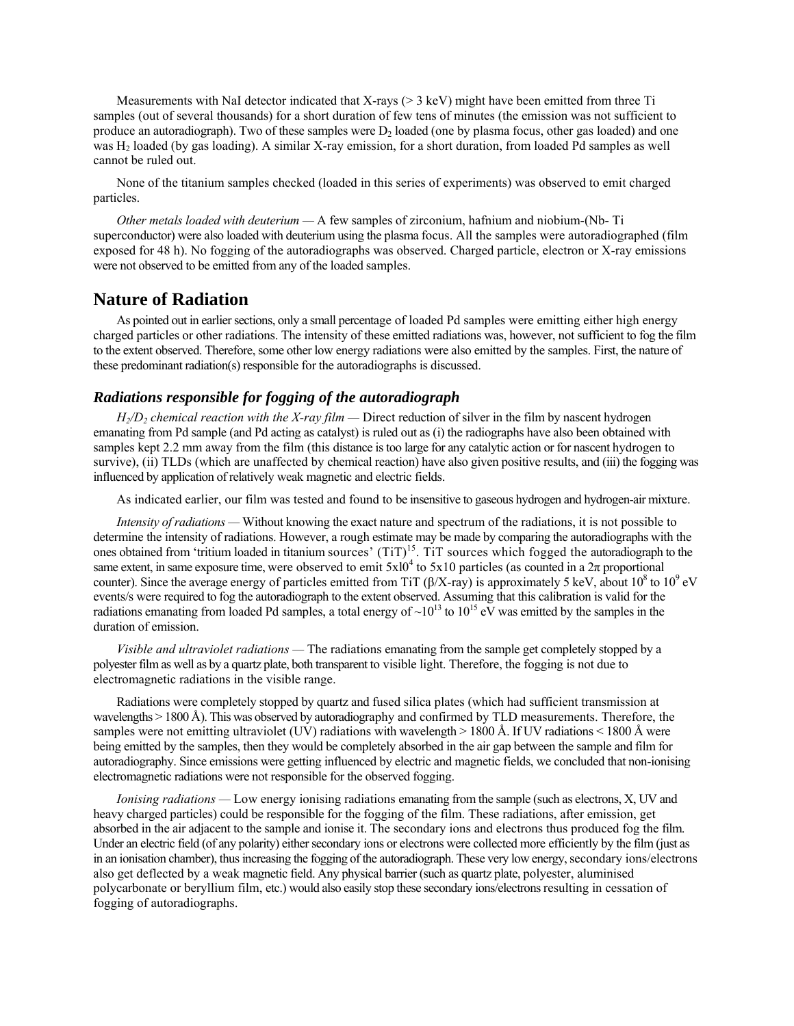Measurements with NaI detector indicated that X-rays (> 3 keV) might have been emitted from three Ti samples (out of several thousands) for a short duration of few tens of minutes (the emission was not sufficient to produce an autoradiograph). Two of these samples were  $D<sub>2</sub>$  loaded (one by plasma focus, other gas loaded) and one was H<sub>2</sub> loaded (by gas loading). A similar X-ray emission, for a short duration, from loaded Pd samples as well cannot be ruled out.

None of the titanium samples checked (loaded in this series of experiments) was observed to emit charged particles.

*Other metals loaded with deuterium* - A few samples of zirconium, hafnium and niobium-(Nb- Ti superconductor) were also loaded with deuterium using the plasma focus. All the samples were autoradiographed (film exposed for 48 h). No fogging of the autoradiographs was observed. Charged particle, electron or X-ray emissions were not observed to be emitted from any of the loaded samples.

# **Nature of Radiation**

As pointed out in earlier sections, only a small percentage of loaded Pd samples were emitting either high energy charged particles or other radiations. The intensity of these emitted radiations was, however, not sufficient to fog the film to the extent observed. Therefore, some other low energy radiations were also emitted by the samples. First, the nature of these predominant radiation(s) responsible for the autoradiographs is discussed.

# *Radiations responsible for fogging of the autoradiograph*

 $H_2/D_2$  *chemical reaction with the X-ray film* — Direct reduction of silver in the film by nascent hydrogen emanating from Pd sample (and Pd acting as catalyst) is ruled out as (i) the radiographs have also been obtained with samples kept 2.2 mm away from the film (this distance is too large for any catalytic action or for nascent hydrogen to survive), (ii) TLDs (which are unaffected by chemical reaction) have also given positive results, and (iii) the fogging was influenced by application of relatively weak magnetic and electric fields.

As indicated earlier, our film was tested and found to be insensitive to gaseous hydrogen and hydrogen-air mixture.

*Intensity of radiations* — Without knowing the exact nature and spectrum of the radiations, it is not possible to determine the intensity of radiations. However, a rough estimate may be made by comparing the autoradiographs with the ones obtained from 'tritium loaded in titanium sources'  $(TiT)^{15}$ . TiT sources which fogged the autoradiograph to the same extent, in same exposure time, were observed to emit  $5x10^4$  to  $5x10$  particles (as counted in a  $2\pi$  proportional counter). Since the average energy of particles emitted from TiT ( $\beta$ /X-ray) is approximately 5 keV, about 10<sup>8</sup> to 10<sup>9</sup> eV events/s were required to fog the autoradiograph to the extent observed. Assuming that this calibration is valid for the radiations emanating from loaded Pd samples, a total energy of  $\sim 10^{13}$  to  $10^{15}$  eV was emitted by the samples in the duration of emission.

*Visible and ultraviolet radiations* — The radiations emanating from the sample get completely stopped by a polyester film as well as by a quartz plate, both transparent to visible light. Therefore, the fogging is not due to electromagnetic radiations in the visible range.

Radiations were completely stopped by quartz and fused silica plates (which had sufficient transmission at wavelengths > 1800 Å). This was observed by autoradiography and confirmed by TLD measurements. Therefore, the samples were not emitting ultraviolet (UV) radiations with wavelength  $> 1800 \text{ Å}$ . If UV radiations  $< 1800 \text{ Å}$  were being emitted by the samples, then they would be completely absorbed in the air gap between the sample and film for autoradiography. Since emissions were getting influenced by electric and magnetic fields, we concluded that non-ionising electromagnetic radiations were not responsible for the observed fogging.

*Ionising radiations* – Low energy ionising radiations emanating from the sample (such as electrons, X, UV and heavy charged particles) could be responsible for the fogging of the film. These radiations, after emission, get absorbed in the air adjacent to the sample and ionise it. The secondary ions and electrons thus produced fog the film. Under an electric field (of any polarity) either secondary ions or electrons were collected more efficiently by the film (just as in an ionisation chamber), thus increasing the fogging of the autoradiograph. These very low energy, secondary ions/electrons also get deflected by a weak magnetic field. Any physical barrier (such as quartz plate, polyester, aluminised polycarbonate or beryllium film, etc.) would also easily stop these secondary ions/electrons resulting in cessation of fogging of autoradiographs.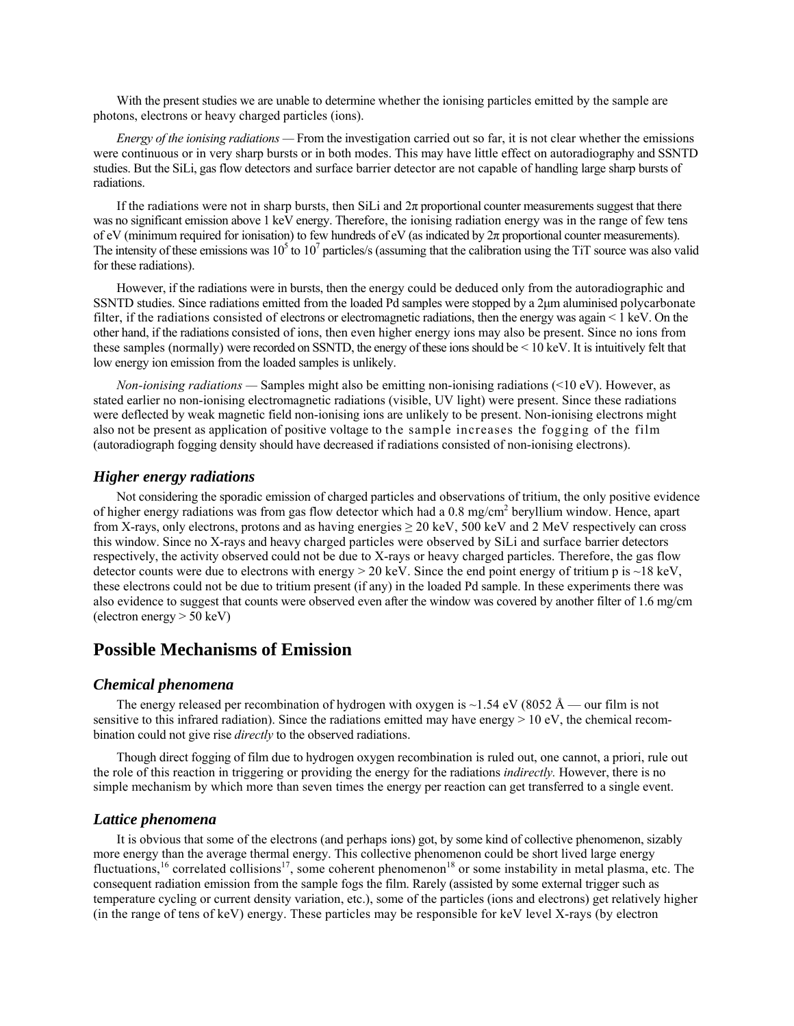With the present studies we are unable to determine whether the ionising particles emitted by the sample are photons, electrons or heavy charged particles (ions).

*Energy of the ionising radiations* – From the investigation carried out so far, it is not clear whether the emissions were continuous or in very sharp bursts or in both modes. This may have little effect on autoradiography and SSNTD studies. But the SiLi, gas flow detectors and surface barrier detector are not capable of handling large sharp bursts of radiations.

If the radiations were not in sharp bursts, then SiLi and  $2\pi$  proportional counter measurements suggest that there was no significant emission above 1 keV energy. Therefore, the ionising radiation energy was in the range of few tens of eV (minimum required for ionisation) to few hundreds of eV (as indicated by  $2\pi$  proportional counter measurements). The intensity of these emissions was  $10^5$  to  $10^7$  particles/s (assuming that the calibration using the TiT source was also valid for these radiations).

However, if the radiations were in bursts, then the energy could be deduced only from the autoradiographic and SSNTD studies. Since radiations emitted from the loaded Pd samples were stopped by a 2µm aluminised polycarbonate filter, if the radiations consisted of electrons or electromagnetic radiations, then the energy was again < 1 keV. On the other hand, if the radiations consisted of ions, then even higher energy ions may also be present. Since no ions from these samples (normally) were recorded on SSNTD, the energy of these ions should be < 10 keV. It is intuitively felt that low energy ion emission from the loaded samples is unlikely.

*Non-ionising radiations* — Samples might also be emitting non-ionising radiations (<10 eV). However, as stated earlier no non-ionising electromagnetic radiations (visible, UV light) were present. Since these radiations were deflected by weak magnetic field non-ionising ions are unlikely to be present. Non-ionising electrons might also not be present as application of positive voltage to the sample increases the fogging of the film (autoradiograph fogging density should have decreased if radiations consisted of non-ionising electrons).

# *Higher energy radiations*

Not considering the sporadic emission of charged particles and observations of tritium, the only positive evidence of higher energy radiations was from gas flow detector which had a 0.8 mg/cm<sup>2</sup> beryllium window. Hence, apart from X-rays, only electrons, protons and as having energies  $\geq$  20 keV, 500 keV and 2 MeV respectively can cross this window. Since no X-rays and heavy charged particles were observed by SiLi and surface barrier detectors respectively, the activity observed could not be due to X-rays or heavy charged particles. Therefore, the gas flow detector counts were due to electrons with energy  $> 20 \text{ keV}$ . Since the end point energy of tritium p is  $\sim 18 \text{ keV}$ , these electrons could not be due to tritium present (if any) in the loaded Pd sample. In these experiments there was also evidence to suggest that counts were observed even after the window was covered by another filter of 1.6 mg/cm (electron energy > 50 keV)

# **Possible Mechanisms of Emission**

#### *Chemical phenomena*

The energy released per recombination of hydrogen with oxygen is  $\sim$ 1.54 eV (8052 Å – our film is not sensitive to this infrared radiation). Since the radiations emitted may have energy  $> 10$  eV, the chemical recombination could not give rise *directly* to the observed radiations.

Though direct fogging of film due to hydrogen oxygen recombination is ruled out, one cannot, a priori, rule out the role of this reaction in triggering or providing the energy for the radiations *indirectly.* However, there is no simple mechanism by which more than seven times the energy per reaction can get transferred to a single event.

#### *Lattice phenomena*

It is obvious that some of the electrons (and perhaps ions) got, by some kind of collective phenomenon, sizably more energy than the average thermal energy. This collective phenomenon could be short lived large energy fluctuations,<sup>16</sup> correlated collisions<sup>17</sup>, some coherent phenomenon<sup>18</sup> or some instability in metal plasma, etc. The consequent radiation emission from the sample fogs the film. Rarely (assisted by some external trigger such as temperature cycling or current density variation, etc.), some of the particles (ions and electrons) get relatively higher (in the range of tens of keV) energy. These particles may be responsible for keV level X-rays (by electron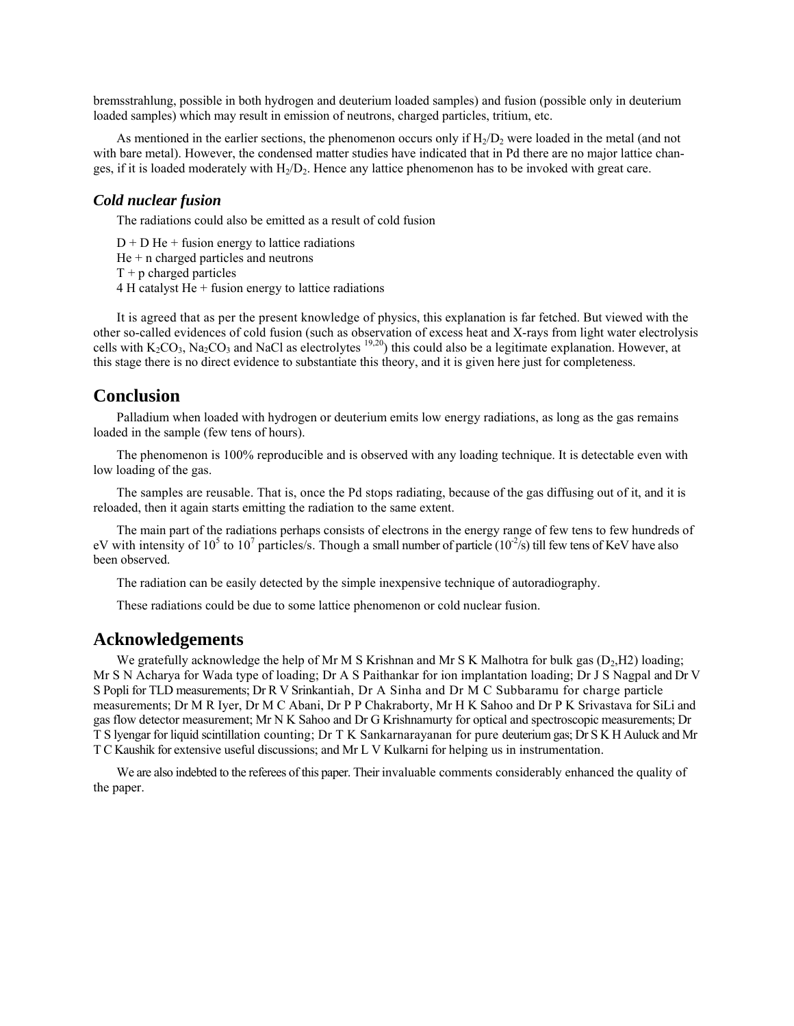bremsstrahlung, possible in both hydrogen and deuterium loaded samples) and fusion (possible only in deuterium loaded samples) which may result in emission of neutrons, charged particles, tritium, etc.

As mentioned in the earlier sections, the phenomenon occurs only if  $H<sub>2</sub>/D<sub>2</sub>$  were loaded in the metal (and not with bare metal). However, the condensed matter studies have indicated that in Pd there are no major lattice changes, if it is loaded moderately with  $H_2/D_2$ . Hence any lattice phenomenon has to be invoked with great care.

#### *Cold nuclear fusion*

The radiations could also be emitted as a result of cold fusion

 $D + D$  He + fusion energy to lattice radiations  $He + n$  charged particles and neutrons  $T + p$  charged particles  $4 H$  catalyst He  $+$  fusion energy to lattice radiations

It is agreed that as per the present knowledge of physics, this explanation is far fetched. But viewed with the other so-called evidences of cold fusion (such as observation of excess heat and X-rays from light water electrolysis cells with  $K_2CO_3$ , Na<sub>2</sub>CO<sub>3</sub> and NaCl as electrolytes <sup>19,20</sup>) this could also be a legitimate explanation. However, at this stage there is no direct evidence to substantiate this theory, and it is given here just for completeness.

# **Conclusion**

Palladium when loaded with hydrogen or deuterium emits low energy radiations, as long as the gas remains loaded in the sample (few tens of hours).

The phenomenon is 100% reproducible and is observed with any loading technique. It is detectable even with low loading of the gas.

The samples are reusable. That is, once the Pd stops radiating, because of the gas diffusing out of it, and it is reloaded, then it again starts emitting the radiation to the same extent.

The main part of the radiations perhaps consists of electrons in the energy range of few tens to few hundreds of eV with intensity of 10<sup>5</sup> to 10<sup>7</sup> particles/s. Though a small number of particle (10<sup>-2</sup>/s) till few tens of KeV have also been observed.

The radiation can be easily detected by the simple inexpensive technique of autoradiography.

These radiations could be due to some lattice phenomenon or cold nuclear fusion.

# **Acknowledgements**

We gratefully acknowledge the help of Mr M S Krishnan and Mr S K Malhotra for bulk gas  $(D_2, H2)$  loading; Mr S N Acharya for Wada type of loading; Dr A S Paithankar for ion implantation loading; Dr J S Nagpal and Dr V S Popli for TLD measurements; Dr R V Srinkantiah, Dr A Sinha and Dr M C Subbaramu for charge particle measurements; Dr M R Iyer, Dr M C Abani, Dr P P Chakraborty, Mr H K Sahoo and Dr P K Srivastava for SiLi and gas flow detector measurement; Mr N K Sahoo and Dr G Krishnamurty for optical and spectroscopic measurements; Dr T S lyengar for liquid scintillation counting; Dr T K Sankarnarayanan for pure deuterium gas; Dr S K H Auluck and Mr T C Kaushik for extensive useful discussions; and Mr L V Kulkarni for helping us in instrumentation.

We are also indebted to the referees of this paper. Their invaluable comments considerably enhanced the quality of the paper.